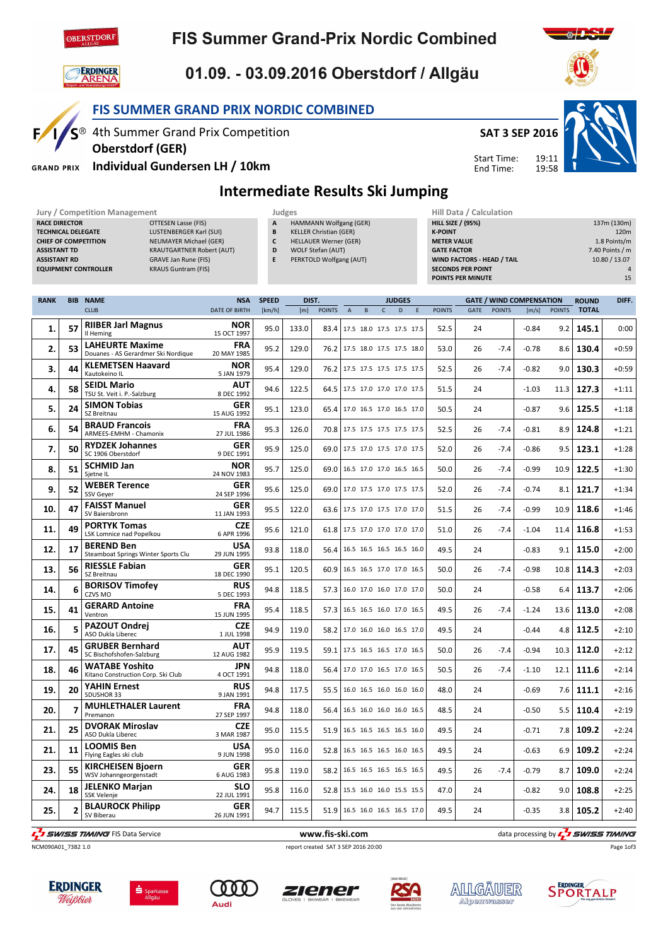

**ERDINGER**<br>**ARENA** 

IC®

**GRAND PRIX** 

 $F/$ 

## **FIS Summer Grand-Prix Nordic Combined**

# 01.09. - 03.09.2016 Oberstdorf / Allgäu

FIS SUMMER GRAND PRIX NORDIC COMBINED

4th Summer Grand Prix Competition

Individual Gundersen LH / 10km

Oberstdorf (GER)



19:11 19:58 Start Time: End Time:



Intermediate Results Ski Jumping

| Jury / Competition Management<br>Judges                                                    | Hill Data / Calculation                            |
|--------------------------------------------------------------------------------------------|----------------------------------------------------|
| HAMMANN Wolfgang (GER)<br>OTTESEN Lasse (FIS)<br>A<br><b>RACE DIRECTOR</b>                 | <b>HILL SIZE / (95%)</b><br>137m (130m)            |
| LUSTENBERGER Karl (SUI)<br><b>KELLER Christian (GER)</b><br><b>TECHNICAL DELEGATE</b><br>B | 120 <sub>m</sub><br><b>K-POINT</b>                 |
| NEUMAYER Michael (GER)<br><b>HELLAUER Werner (GER)</b><br><b>CHIEF OF COMPETITION</b><br>C | 1.8 Points/m<br><b>METER VALUE</b>                 |
| <b>KRAUTGARTNER Robert (AUT)</b><br>WOLF Stefan (AUT)<br><b>ASSISTANT TD</b><br>D          | 7.40 Points / m<br><b>GATE FACTOR</b>              |
| PERKTOLD Wolfgang (AUT)<br>GRAVE Jan Rune (FIS)<br><b>ASSISTANT RD</b>                     | <b>WIND FACTORS - HEAD / TAIL</b><br>10.80 / 13.07 |
| <b>KRAUS Guntram (FIS)</b><br><b>EQUIPMENT CONTROLLER</b>                                  | <b>SECONDS PER POINT</b><br>4                      |
|                                                                                            | 15<br><b>POINTS PER MINUTE</b>                     |
|                                                                                            |                                                    |

| RANK |                | <b>BIB NAME</b>                                               | <b>NSA</b>                | <b>SPEED</b> | DIST. |               | <b>JUDGES</b>  |                               |              |   |   | <b>GATE / WIND COMPENSATION</b> |      |               |         | <b>ROUND</b>  | DIFF.        |         |
|------|----------------|---------------------------------------------------------------|---------------------------|--------------|-------|---------------|----------------|-------------------------------|--------------|---|---|---------------------------------|------|---------------|---------|---------------|--------------|---------|
|      |                | <b>CLUB</b>                                                   | <b>DATE OF BIRTH</b>      | [km/h]       | [m]   | <b>POINTS</b> | $\overline{A}$ | B                             | $\mathsf{C}$ | D | E | <b>POINTS</b>                   | GATE | <b>POINTS</b> | [m/s]   | <b>POINTS</b> | <b>TOTAL</b> |         |
| 1.   | 57             | <b>RIIBER Jarl Magnus</b><br>Il Heming                        | <b>NOR</b><br>15 OCT 1997 | 95.0         | 133.0 | 83.4          |                | 17.5 18.0 17.5 17.5 17.5      |              |   |   | 52.5                            | 24   |               | $-0.84$ | 9.2           | 145.1        | 0:00    |
| 2.   | 53             | <b>LAHEURTE Maxime</b><br>Douanes - AS Gerardmer Ski Nordique | <b>FRA</b><br>20 MAY 1985 | 95.2         | 129.0 | 76.2          |                | 17.5 18.0 17.5 17.5 18.0      |              |   |   | 53.0                            | 26   | $-7.4$        | $-0.78$ | 8.6           | 130.4        | $+0:59$ |
| 3.   | 44             | <b>KLEMETSEN Haavard</b><br>Kautokeino IL                     | <b>NOR</b><br>5 JAN 1979  | 95.4         | 129.0 | 76.2          |                | 17.5 17.5 17.5 17.5 17.5      |              |   |   | 52.5                            | 26   | $-7.4$        | $-0.82$ | 9.0           | 130.3        | $+0:59$ |
| 4.   | 58             | <b>SEIDL Mario</b><br>TSU St. Veit i. P.-Salzburg             | <b>AUT</b><br>8 DEC 1992  | 94.6         | 122.5 | 64.5          |                | 17.5 17.0 17.0 17.0 17.5      |              |   |   | 51.5                            | 24   |               | $-1.03$ | 11.3          | 127.3        | $+1:11$ |
| 5.   | 24             | <b>SIMON Tobias</b><br>SZ Breitnau                            | <b>GER</b><br>15 AUG 1992 | 95.1         | 123.0 | 65.4          |                | 17.0 16.5 17.0 16.5 17.0      |              |   |   | 50.5                            | 24   |               | $-0.87$ | 9.6           | 125.5        | $+1:18$ |
| 6.   | 54             | <b>BRAUD Francois</b><br>ARMEES-EMHM - Chamonix               | <b>FRA</b><br>27 JUL 1986 | 95.3         | 126.0 | 70.8          |                | 17.5 17.5 17.5 17.5 17.5      |              |   |   | 52.5                            | 26   | $-7.4$        | $-0.81$ | 8.9           | 124.8        | $+1:21$ |
| 7.   | 50             | <b>RYDZEK Johannes</b><br>SC 1906 Oberstdorf                  | <b>GER</b><br>9 DEC 1991  | 95.9         | 125.0 | 69.0          |                | 17.5 17.0 17.5 17.0 17.5      |              |   |   | 52.0                            | 26   | $-7.4$        | $-0.86$ | 9.5           | 123.1        | $+1:28$ |
| 8.   | 51             | <b>SCHMID Jan</b><br>Sjetne IL                                | <b>NOR</b><br>24 NOV 1983 | 95.7         | 125.0 | 69.0          |                | 16.5 17.0 17.0 16.5 16.5      |              |   |   | 50.0                            | 26   | $-7.4$        | $-0.99$ | 10.9          | 122.5        | $+1:30$ |
| 9.   | 52             | <b>WEBER Terence</b><br><b>SSV Gever</b>                      | <b>GER</b><br>24 SEP 1996 | 95.6         | 125.0 |               |                | 69.0 17.0 17.5 17.0 17.5 17.5 |              |   |   | 52.0                            | 26   | $-7.4$        | $-0.74$ | 8.1           | 121.7        | $+1:34$ |
| 10.  | 47             | <b>FAISST Manuel</b><br>SV Baiersbronn                        | <b>GER</b><br>11 JAN 1993 | 95.5         | 122.0 | 63.6          |                | 17.5 17.0 17.5 17.0 17.0      |              |   |   | 51.5                            | 26   | $-7.4$        | $-0.99$ | 10.9          | 118.6        | $+1:46$ |
| 11.  | 49             | <b>PORTYK Tomas</b><br>LSK Lomnice nad Popelkou               | <b>CZE</b><br>6 APR 1996  | 95.6         | 121.0 | 61.8          |                | 17.5 17.0 17.0 17.0 17.0      |              |   |   | 51.0                            | 26   | $-7.4$        | $-1.04$ | 11.4          | 116.8        | $+1:53$ |
| 12.  | 17             | <b>BEREND Ben</b><br>Steamboat Springs Winter Sports Clu      | <b>USA</b><br>29 JUN 1995 | 93.8         | 118.0 | 56.4          |                | 16.5 16.5 16.5 16.5 16.0      |              |   |   | 49.5                            | 24   |               | $-0.83$ | 9.1           | 115.0        | $+2:00$ |
| 13.  | 56             | <b>RIESSLE Fabian</b><br>SZ Breitnau                          | <b>GER</b><br>18 DEC 1990 | 95.1         | 120.5 | 60.9          |                | 16.5 16.5 17.0 17.0 16.5      |              |   |   | 50.0                            | 26   | $-7.4$        | $-0.98$ | 10.8          | 114.3        | $+2:03$ |
| 14.  | 6              | <b>BORISOV Timofey</b><br>CZVS MO                             | <b>RUS</b><br>5 DEC 1993  | 94.8         | 118.5 | 57.3          |                | 16.0 17.0 16.0 17.0 17.0      |              |   |   | 50.0                            | 24   |               | $-0.58$ | 6.4           | 113.7        | $+2:06$ |
| 15.  | 41             | <b>GERARD Antoine</b><br>Ventron                              | <b>FRA</b><br>15 JUN 1995 | 95.4         | 118.5 | 57.3          |                | 16.5 16.5 16.0 17.0 16.5      |              |   |   | 49.5                            | 26   | $-7.4$        | $-1.24$ | 13.6          | 113.0        | $+2:08$ |
| 16.  | 5              | <b>PAZOUT Ondrej</b><br><b>ASO Dukla Liberec</b>              | <b>CZE</b><br>1 JUL 1998  | 94.9         | 119.0 | 58.2          |                | 17.0 16.0 16.0 16.5 17.0      |              |   |   | 49.5                            | 24   |               | $-0.44$ | 4.8           | 112.5        | $+2:10$ |
| 17.  | 45             | <b>GRUBER Bernhard</b><br>SC Bischofshofen-Salzburg           | <b>AUT</b><br>12 AUG 1982 | 95.9         | 119.5 | 59.1          |                | 17.5 16.5 16.5 17.0 16.5      |              |   |   | 50.0                            | 26   | $-7.4$        | $-0.94$ | 10.3          | 112.0        | $+2:12$ |
| 18.  | 46             | <b>WATABE Yoshito</b><br>Kitano Construction Corp. Ski Club   | <b>JPN</b><br>4 OCT 1991  | 94.8         | 118.0 | 56.4          |                | 17.0 17.0 16.5 17.0 16.5      |              |   |   | 50.5                            | 26   | $-7.4$        | $-1.10$ | 12.1          | 111.6        | $+2:14$ |
| 19.  | 20             | <b>YAHIN Ernest</b><br>SDUSHOR 33                             | <b>RUS</b><br>9 JAN 1991  | 94.8         | 117.5 | 55.5          |                | 16.0 16.5 16.0 16.0 16.0      |              |   |   | 48.0                            | 24   |               | $-0.69$ | 7.6           | 111.1        | $+2:16$ |
| 20.  | $\overline{7}$ | <b>MUHLETHALER Laurent</b><br>Premanon                        | <b>FRA</b><br>27 SEP 1997 | 94.8         | 118.0 | 56.4          |                | 16.5 16.0 16.0 16.0 16.5      |              |   |   | 48.5                            | 24   |               | $-0.50$ | 5.5           | 110.4        | $+2:19$ |
| 21.  | 25             | <b>DVORAK Miroslav</b><br>ASO Dukla Liberec                   | <b>CZE</b><br>3 MAR 1987  | 95.0         | 115.5 | 51.9          |                | 16.5 16.5 16.5 16.5 16.0      |              |   |   | 49.5                            | 24   |               | $-0.71$ | 7.8           | 109.2        | $+2:24$ |
| 21.  | 11             | <b>LOOMIS Ben</b><br>Flying Eagles ski club                   | <b>USA</b><br>9 JUN 1998  | 95.0         | 116.0 | 52.8          |                | 16.5 16.5 16.5 16.0 16.5      |              |   |   | 49.5                            | 24   |               | $-0.63$ | 6.9           | 109.2        | $+2:24$ |
| 23.  | 55             | <b>KIRCHEISEN Bjoern</b><br>WSV Johanngeorgenstadt            | <b>GER</b><br>6 AUG 1983  | 95.8         | 119.0 | 58.2          |                | 16.5 16.5 16.5 16.5 16.5      |              |   |   | 49.5                            | 26   | $-7.4$        | $-0.79$ | 8.7           | 109.0        | $+2:24$ |
| 24.  | 18             | <b>JELENKO Marjan</b><br>SSK Velenje                          | <b>SLO</b><br>22 JUL 1991 | 95.8         | 116.0 | 52.8          |                | 15.5 16.0 16.0 15.5 15.5      |              |   |   | 47.0                            | 24   |               | $-0.82$ | 9.0           | 108.8        | $+2:25$ |
| 25.  | 2              | <b>BLAUROCK Philipp</b><br>SV Biberau                         | <b>GER</b><br>26 JUN 1991 | 94.7         | 115.5 |               |                | 51.9 16.5 16.0 16.5 16.5 17.0 |              |   |   | 49.5                            | 24   |               | $-0.35$ | 3.8           | 105.2        | $+2:40$ |

The same state of the service www.fis-ski.com data processing by  $\frac{1}{2}$  swiss time of the service www.fis-ski.com data processing by  $\frac{1}{2}$  swiss time of the service

NCM090A01\_73B2 1.0 report created SAT 3 SEP 2016 20:00















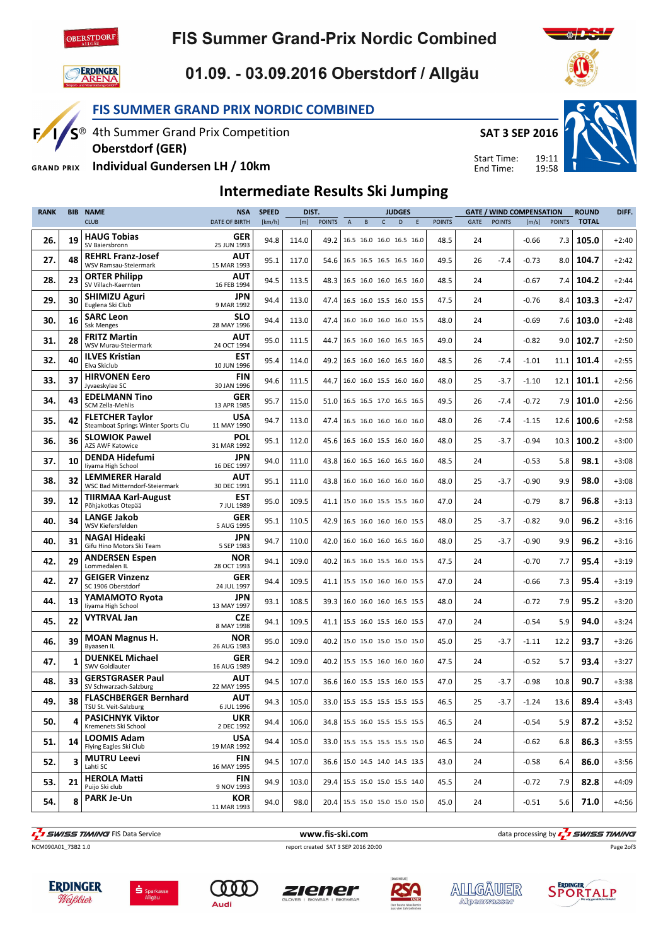

## **FIS Summer Grand-Prix Nordic Combined**



1/S®

 $F/$ 

### 01.09. - 03.09.2016 Oberstdorf / Allgäu

#### FIS SUMMER GRAND PRIX NORDIC COMBINED

4th Summer Grand Prix Competition



Start Time: End Time:

19:11 19:58



Individual Gundersen LH / 10km **GRAND PRIX** 

Oberstdorf (GER)

### Intermediate Results Ski Jumping

| <b>BIB</b> | <b>NAME</b>                                                   | <b>NSA</b>                | <b>SPEED</b> |       |               |                           |                                                      |              |   |   |                                                                                                                                                                                                                                                                                                                                                                                                                                                                                                                                                                                                                                                                                                                                                                                                                                                                                                                                              |      |               |         |               | <b>ROUND</b>                    | DIFF.   |
|------------|---------------------------------------------------------------|---------------------------|--------------|-------|---------------|---------------------------|------------------------------------------------------|--------------|---|---|----------------------------------------------------------------------------------------------------------------------------------------------------------------------------------------------------------------------------------------------------------------------------------------------------------------------------------------------------------------------------------------------------------------------------------------------------------------------------------------------------------------------------------------------------------------------------------------------------------------------------------------------------------------------------------------------------------------------------------------------------------------------------------------------------------------------------------------------------------------------------------------------------------------------------------------------|------|---------------|---------|---------------|---------------------------------|---------|
|            | <b>CLUB</b>                                                   | <b>DATE OF BIRTH</b>      | [km/h]       | [m]   | <b>POINTS</b> | $\boldsymbol{\mathsf{A}}$ | B                                                    | $\mathsf{C}$ | D | E | <b>POINTS</b>                                                                                                                                                                                                                                                                                                                                                                                                                                                                                                                                                                                                                                                                                                                                                                                                                                                                                                                                | GATE | <b>POINTS</b> | [m/s]   | <b>POINTS</b> | <b>TOTAL</b>                    |         |
| 19         | <b>HAUG Tobias</b><br>SV Baiersbronn                          | GER<br>25 JUN 1993        | 94.8         | 114.0 | 49.2          |                           |                                                      |              |   |   | 48.5                                                                                                                                                                                                                                                                                                                                                                                                                                                                                                                                                                                                                                                                                                                                                                                                                                                                                                                                         | 24   |               | $-0.66$ | 7.3           | 105.0                           | $+2:40$ |
| 48         | <b>REHRL Franz-Josef</b><br>WSV Ramsau-Steiermark             | AUT<br>15 MAR 1993        | 95.1         | 117.0 |               |                           |                                                      |              |   |   | 49.5                                                                                                                                                                                                                                                                                                                                                                                                                                                                                                                                                                                                                                                                                                                                                                                                                                                                                                                                         | 26   | $-7.4$        | $-0.73$ | 8.0           | 104.7                           | $+2:42$ |
| 23         | <b>ORTER Philipp</b><br>SV Villach-Kaernten                   | <b>AUT</b><br>16 FEB 1994 | 94.5         | 113.5 | 48.3          |                           |                                                      |              |   |   | 48.5                                                                                                                                                                                                                                                                                                                                                                                                                                                                                                                                                                                                                                                                                                                                                                                                                                                                                                                                         | 24   |               | $-0.67$ | 7.4           | 104.2                           | $+2:44$ |
| 30         | <b>SHIMIZU Aguri</b><br>Euglena Ski Club                      | JPN<br>9 MAR 1992         | 94.4         | 113.0 | 47.4          |                           |                                                      |              |   |   | 47.5                                                                                                                                                                                                                                                                                                                                                                                                                                                                                                                                                                                                                                                                                                                                                                                                                                                                                                                                         | 24   |               | $-0.76$ | 8.4           | 103.3                           | $+2:47$ |
| 16         | <b>SARC Leon</b><br><b>Ssk Menges</b>                         | <b>SLO</b><br>28 MAY 1996 | 94.4         | 113.0 | 47.4          |                           |                                                      |              |   |   | 48.0                                                                                                                                                                                                                                                                                                                                                                                                                                                                                                                                                                                                                                                                                                                                                                                                                                                                                                                                         | 24   |               | $-0.69$ | 7.6           | 103.0                           | $+2:48$ |
| 28         | <b>FRITZ Martin</b><br>WSV Murau-Steiermark                   | <b>AUT</b><br>24 OCT 1994 | 95.0         | 111.5 | 44.7          |                           |                                                      |              |   |   | 49.0                                                                                                                                                                                                                                                                                                                                                                                                                                                                                                                                                                                                                                                                                                                                                                                                                                                                                                                                         | 24   |               | $-0.82$ | 9.0           | 102.7                           | $+2:50$ |
| 40         | <b>ILVES Kristian</b><br>Elva Skiclub                         | <b>EST</b><br>10 JUN 1996 | 95.4         | 114.0 | 49.2          |                           |                                                      |              |   |   | 48.5                                                                                                                                                                                                                                                                                                                                                                                                                                                                                                                                                                                                                                                                                                                                                                                                                                                                                                                                         | 26   | $-7.4$        | $-1.01$ | 11.1          | 101.4                           | $+2:55$ |
| 37         | <b>HIRVONEN Eero</b><br>Jyvaeskylae SC                        | <b>FIN</b><br>30 JAN 1996 | 94.6         | 111.5 | 44.7          |                           |                                                      |              |   |   | 48.0                                                                                                                                                                                                                                                                                                                                                                                                                                                                                                                                                                                                                                                                                                                                                                                                                                                                                                                                         | 25   | $-3.7$        | $-1.10$ | 12.1          | 101.1                           | $+2:56$ |
| 43         | <b>EDELMANN Tino</b><br><b>SCM Zella-Mehlis</b>               | <b>GER</b><br>13 APR 1985 | 95.7         | 115.0 |               |                           |                                                      |              |   |   | 49.5                                                                                                                                                                                                                                                                                                                                                                                                                                                                                                                                                                                                                                                                                                                                                                                                                                                                                                                                         | 26   | $-7.4$        | $-0.72$ | 7.9           | 101.0                           | $+2:56$ |
| 42         | <b>FLETCHER Taylor</b><br>Steamboat Springs Winter Sports Clu | <b>USA</b><br>11 MAY 1990 | 94.7         | 113.0 |               |                           |                                                      |              |   |   | 48.0                                                                                                                                                                                                                                                                                                                                                                                                                                                                                                                                                                                                                                                                                                                                                                                                                                                                                                                                         | 26   | $-7.4$        | $-1.15$ | 12.6          | 100.6                           | $+2:58$ |
| 36         | <b>SLOWIOK Pawel</b><br><b>AZS AWF Katowice</b>               | <b>POL</b><br>31 MAR 1992 | 95.1         | 112.0 |               |                           |                                                      |              |   |   | 48.0                                                                                                                                                                                                                                                                                                                                                                                                                                                                                                                                                                                                                                                                                                                                                                                                                                                                                                                                         | 25   | $-3.7$        | $-0.94$ | 10.3          | 100.2                           | $+3:00$ |
| 10         | <b>DENDA Hidefumi</b><br>liyama High School                   | JPN<br>16 DEC 1997        | 94.0         | 111.0 |               |                           |                                                      |              |   |   | 48.5                                                                                                                                                                                                                                                                                                                                                                                                                                                                                                                                                                                                                                                                                                                                                                                                                                                                                                                                         | 24   |               | $-0.53$ | 5.8           | 98.1                            | $+3:08$ |
| 32         | <b>LEMMERER Harald</b><br>WSC Bad Mitterndorf-Steiermark      | AUT<br>30 DEC 1991        | 95.1         | 111.0 | 43.8          |                           |                                                      |              |   |   | 48.0                                                                                                                                                                                                                                                                                                                                                                                                                                                                                                                                                                                                                                                                                                                                                                                                                                                                                                                                         | 25   | $-3.7$        | $-0.90$ | 9.9           | 98.0                            | $+3:08$ |
| 12         | <b>TIIRMAA Karl-August</b><br>Põhjakotkas Otepää              | <b>EST</b><br>7 JUL 1989  | 95.0         | 109.5 |               |                           |                                                      |              |   |   | 47.0                                                                                                                                                                                                                                                                                                                                                                                                                                                                                                                                                                                                                                                                                                                                                                                                                                                                                                                                         | 24   |               | $-0.79$ | 8.7           | 96.8                            | $+3:13$ |
| 34         | <b>LANGE Jakob</b><br>WSV Kiefersfelden                       | <b>GER</b><br>5 AUG 1995  | 95.1         | 110.5 | 42.9          |                           |                                                      |              |   |   | 48.0                                                                                                                                                                                                                                                                                                                                                                                                                                                                                                                                                                                                                                                                                                                                                                                                                                                                                                                                         | 25   | $-3.7$        | $-0.82$ | 9.0           | 96.2                            | $+3:16$ |
| 31         | <b>NAGAI Hideaki</b><br>Gifu Hino Motors Ski Team             | JPN<br>5 SEP 1983         | 94.7         | 110.0 |               |                           |                                                      |              |   |   | 48.0                                                                                                                                                                                                                                                                                                                                                                                                                                                                                                                                                                                                                                                                                                                                                                                                                                                                                                                                         | 25   | $-3.7$        | $-0.90$ | 9.9           | 96.2                            | $+3:16$ |
| 29         | <b>ANDERSEN Espen</b><br>Lommedalen IL                        | <b>NOR</b><br>28 OCT 1993 | 94.1         | 109.0 |               |                           |                                                      |              |   |   | 47.5                                                                                                                                                                                                                                                                                                                                                                                                                                                                                                                                                                                                                                                                                                                                                                                                                                                                                                                                         | 24   |               | $-0.70$ | 7.7           | 95.4                            | $+3:19$ |
| 27         | <b>GEIGER Vinzenz</b><br>SC 1906 Oberstdorf                   | GER<br>24 JUL 1997        | 94.4         | 109.5 |               |                           |                                                      |              |   |   | 47.0                                                                                                                                                                                                                                                                                                                                                                                                                                                                                                                                                                                                                                                                                                                                                                                                                                                                                                                                         | 24   |               | $-0.66$ | 7.3           | 95.4                            | $+3:19$ |
| 13         | YAMAMOTO Ryota<br>liyama High School                          | JPN<br>13 MAY 1997        | 93.1         | 108.5 |               |                           |                                                      |              |   |   | 48.0                                                                                                                                                                                                                                                                                                                                                                                                                                                                                                                                                                                                                                                                                                                                                                                                                                                                                                                                         | 24   |               | $-0.72$ | 7.9           | 95.2                            | $+3:20$ |
| 22         | <b>VYTRVAL Jan</b>                                            | <b>CZE</b><br>8 MAY 1998  | 94.1         | 109.5 |               |                           |                                                      |              |   |   | 47.0                                                                                                                                                                                                                                                                                                                                                                                                                                                                                                                                                                                                                                                                                                                                                                                                                                                                                                                                         | 24   |               | $-0.54$ | 5.9           | 94.0                            | $+3:24$ |
| 39         | <b>MOAN Magnus H.</b><br><b>Byaasen IL</b>                    | <b>NOR</b><br>26 AUG 1983 | 95.0         | 109.0 |               |                           |                                                      |              |   |   | 45.0                                                                                                                                                                                                                                                                                                                                                                                                                                                                                                                                                                                                                                                                                                                                                                                                                                                                                                                                         | 25   | $-3.7$        | $-1.11$ | 12.2          | 93.7                            | $+3:26$ |
| 1          | <b>DUENKEL Michael</b><br><b>SWV Goldlauter</b>               | <b>GER</b><br>16 AUG 1989 | 94.2         | 109.0 |               |                           |                                                      |              |   |   | 47.5                                                                                                                                                                                                                                                                                                                                                                                                                                                                                                                                                                                                                                                                                                                                                                                                                                                                                                                                         | 24   |               | $-0.52$ | 5.7           | 93.4                            | $+3:27$ |
| 33         | <b>GERSTGRASER Paul</b><br>SV Schwarzach-Salzburg             | <b>AUT</b><br>22 MAY 1995 | 94.5         | 107.0 |               |                           |                                                      |              |   |   | 47.0                                                                                                                                                                                                                                                                                                                                                                                                                                                                                                                                                                                                                                                                                                                                                                                                                                                                                                                                         | 25   | $-3.7$        | $-0.98$ | 10.8          | 90.7                            | $+3:38$ |
| 38         | <b>FLASCHBERGER Bernhard</b><br>TSU St. Veit-Salzburg         | <b>AUT</b><br>6 JUL 1996  | 94.3         | 105.0 |               |                           |                                                      |              |   |   | 46.5                                                                                                                                                                                                                                                                                                                                                                                                                                                                                                                                                                                                                                                                                                                                                                                                                                                                                                                                         | 25   | $-3.7$        | $-1.24$ | 13.6          | 89.4                            | $+3:43$ |
| 4          | <b>PASICHNYK Viktor</b><br>Kremenets Ski School               | <b>UKR</b><br>2 DEC 1992  | 94.4         | 106.0 |               |                           |                                                      |              |   |   | 46.5                                                                                                                                                                                                                                                                                                                                                                                                                                                                                                                                                                                                                                                                                                                                                                                                                                                                                                                                         | 24   |               | $-0.54$ | 5.9           | 87.2                            | $+3:52$ |
| 14         | <b>LOOMIS Adam</b><br>Flying Eagles Ski Club                  | <b>USA</b><br>19 MAR 1992 | 94.4         | 105.0 |               |                           |                                                      |              |   |   | 46.5                                                                                                                                                                                                                                                                                                                                                                                                                                                                                                                                                                                                                                                                                                                                                                                                                                                                                                                                         | 24   |               | $-0.62$ | 6.8           | 86.3                            | $+3:55$ |
| 3          | <b>MUTRU Leevi</b><br>Lahti SC                                | <b>FIN</b><br>16 MAY 1995 | 94.5         | 107.0 |               |                           |                                                      |              |   |   | 43.0                                                                                                                                                                                                                                                                                                                                                                                                                                                                                                                                                                                                                                                                                                                                                                                                                                                                                                                                         | 24   |               | $-0.58$ | 6.4           | 86.0                            | $+3:56$ |
| 21         | <b>HEROLA Matti</b><br>Puijo Ski club                         | FIN<br>9 NOV 1993         | 94.9         | 103.0 |               |                           |                                                      |              |   |   | 45.5                                                                                                                                                                                                                                                                                                                                                                                                                                                                                                                                                                                                                                                                                                                                                                                                                                                                                                                                         | 24   |               | $-0.72$ | 7.9           | 82.8                            | $+4:09$ |
| 8          | <b>PARK Je-Un</b>                                             | KOR<br>11 MAR 1993        | 94.0         | 98.0  |               |                           |                                                      |              |   |   | 45.0                                                                                                                                                                                                                                                                                                                                                                                                                                                                                                                                                                                                                                                                                                                                                                                                                                                                                                                                         | 24   |               | $-0.51$ | 5.6           | 71.0                            | $+4:56$ |
|            |                                                               |                           |              |       |               | DIST.                     | 54.6<br>51.0<br>47.4<br>45.6<br>43.8<br>39.3<br>40.2 |              |   |   | <b>JUDGES</b><br>16.5 16.0 16.0 16.5 16.0<br>16.5 16.5 16.5 16.5 16.0<br>16.5 16.0 16.0 16.5 16.0<br>16.5 16.0 15.5 16.0 15.5<br>16.0 16.0 16.0 16.0 15.5<br>16.5 16.0 16.0 16.5 16.5<br>16.5 16.0 16.0 16.5 16.0<br>16.0 16.0 15.5 16.0 16.0<br>16.5 16.5 17.0 16.5 16.5<br>16.5 16.0 16.0 16.0 16.0<br>16.5 16.0 15.5 16.0 16.0<br>16.0 16.5 16.0 16.5 16.0<br>16.0 16.0 16.0 16.0 16.0<br>41.1   15.0 16.0 15.5 15.5 16.0<br>16.5 16.0 16.0 16.0 15.5<br>42.0   16.0 16.0 16.0 16.5 16.0<br>40.2 16.5 16.0 15.5 16.0 15.5<br>41.1   15.5 15.0 16.0 16.0 15.5<br>16.0 16.0 16.0 16.5 15.5<br>41.1   15.5 16.0 15.5 16.0 15.5<br>15.0 15.0 15.0 15.0 15.0<br>40.2 15.5 15.5 16.0 16.0 16.0<br>36.6 16.0 15.5 15.5 16.0 15.5<br>33.0   15.5 15.5 15.5 15.5 15.5<br>34.8   15.5 16.0 15.5 15.5 15.5<br>33.0   15.5 15.5 15.5 15.5 15.0<br>36.6   15.0 14.5 14.0 14.5 13.5<br>29.4 15.5 15.0 15.0 15.5 14.0<br>20.4   15.5 15.0 15.0 15.0 15.0 |      |               |         |               | <b>GATE / WIND COMPENSATION</b> |         |



**F**<br>Examples and the service www.fis-ski.com data processing by  $\frac{1}{2}$  SWISS TIMING



Page 2of3